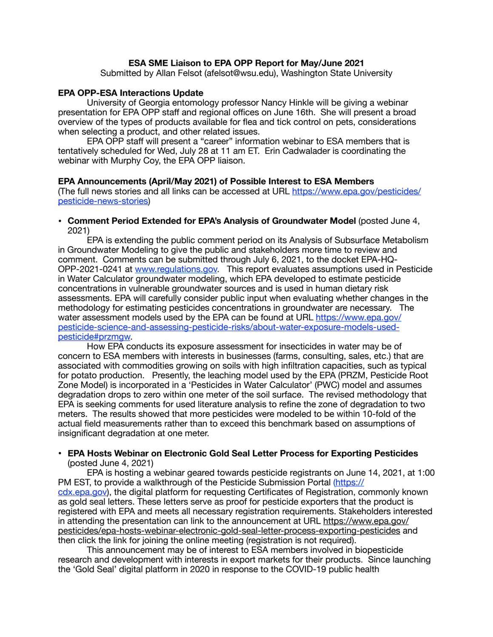### **ESA SME Liaison to EPA OPP Report for May/June 2021**

Submitted by Allan Felsot (afelsot@wsu.edu), Washington State University

### **EPA OPP-ESA Interactions Update**

University of Georgia entomology professor Nancy Hinkle will be giving a webinar presentation for EPA OPP staff and regional offices on June 16th. She will present a broad overview of the types of products available for flea and tick control on pets, considerations when selecting a product, and other related issues.

EPA OPP staff will present a "career" information webinar to ESA members that is tentatively scheduled for Wed, July 28 at 11 am ET. Erin Cadwalader is coordinating the webinar with Murphy Coy, the EPA OPP liaison.

#### **EPA Announcements (April/May 2021) of Possible Interest to ESA Members**

(The full news stories and all links can be accessed at URL [https://www.epa.gov/pesticides/](https://www.epa.gov/pesticides/pesticide-news-stories) [pesticide-news-stories\)](https://www.epa.gov/pesticides/pesticide-news-stories)

#### **• Comment Period Extended for EPA's Analysis of Groundwater Model** (posted June 4, 2021)

EPA is extending the public comment period on its Analysis of Subsurface Metabolism in Groundwater Modeling to give the public and stakeholders more time to review and comment. Comments can be submitted through July 6, 2021, to the docket EPA-HQ-OPP-2021-0241 at [www.regulations.gov.](https://www.regulations.gov/) This report evaluates assumptions used in Pesticide in Water Calculator groundwater modeling, which EPA developed to estimate pesticide concentrations in vulnerable groundwater sources and is used in human dietary risk assessments. EPA will carefully consider public input when evaluating whether changes in the methodology for estimating pesticides concentrations in groundwater are necessary. The water assessment models used by the EPA can be found at URL [https://www.epa.gov/](https://www.epa.gov/pesticide-science-and-assessing-pesticide-risks/about-water-exposure-models-used-pesticide#przmgw) [pesticide-science-and-assessing-pesticide-risks/about-water-exposure-models-used](https://www.epa.gov/pesticide-science-and-assessing-pesticide-risks/about-water-exposure-models-used-pesticide#przmgw)[pesticide#przmgw.](https://www.epa.gov/pesticide-science-and-assessing-pesticide-risks/about-water-exposure-models-used-pesticide#przmgw)

How EPA conducts its exposure assessment for insecticides in water may be of concern to ESA members with interests in businesses (farms, consulting, sales, etc.) that are associated with commodities growing on soils with high infiltration capacities, such as typical for potato production. Presently, the leaching model used by the EPA (PRZM, Pesticide Root Zone Model) is incorporated in a 'Pesticides in Water Calculator' (PWC) model and assumes degradation drops to zero within one meter of the soil surface. The revised methodology that EPA is seeking comments for used literature analysis to refine the zone of degradation to two meters. The results showed that more pesticides were modeled to be within 10-fold of the actual field measurements rather than to exceed this benchmark based on assumptions of insignificant degradation at one meter.

#### **• EPA Hosts Webinar on Electronic Gold Seal Letter Process for Exporting Pesticides**  (posted June 4, 2021)

EPA is hosting a webinar geared towards pesticide registrants on June 14, 2021, at 1:00 PM EST, to provide a walkthrough of the Pesticide Submission Portal ([https://](https://cdx.epa.gov) [cdx.epa.gov\)](https://cdx.epa.gov), the digital platform for requesting Certificates of Registration, commonly known as gold seal letters. These letters serve as proof for pesticide exporters that the product is registered with EPA and meets all necessary registration requirements. Stakeholders interested in attending the presentation can link to the announcement at URL [https://www.epa.gov/](https://www.epa.gov/pesticides/epa-hosts-webinar-electronic-gold-seal-letter-process-exporting-pesticides) [pesticides/epa-hosts-webinar-electronic-gold-seal-letter-process-exporting-pesticides an](https://www.epa.gov/pesticides/epa-hosts-webinar-electronic-gold-seal-letter-process-exporting-pesticides)d then click the link for joining the online meeting (registration is not required).

This announcement may be of interest to ESA members involved in biopesticide research and development with interests in export markets for their products. Since launching the 'Gold Seal' digital platform in 2020 in response to the COVID-19 public health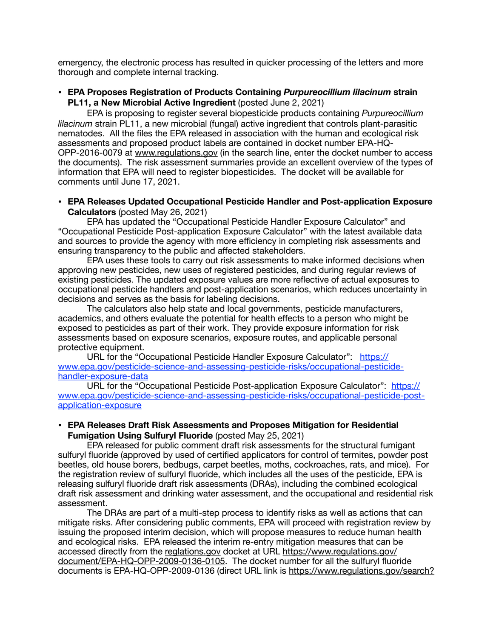emergency, the electronic process has resulted in quicker processing of the letters and more thorough and complete internal tracking.

# **• EPA Proposes Registration of Products Containing** *Purpureocillium lilacinum* **strain PL11, a New Microbial Active Ingredient** (posted June 2, 2021)

EPA is proposing to register several biopesticide products containing *Purpureocillium lilacinum* strain PL11, a new microbial (fungal) active ingredient that controls plant-parasitic nematodes. All the files the EPA released in association with the human and ecological risk assessments and proposed product labels are contained in docket number EPA-HQ-OPP-2016-0079 at [www.regulations.gov](http://www.regulations.gov) (in the search line, enter the docket number to access the documents). The risk assessment summaries provide an excellent overview of the types of information that EPA will need to register biopesticides. The docket will be available for comments until June 17, 2021.

## • **EPA Releases Updated Occupational Pesticide Handler and Post-application Exposure Calculators** (posted May 26, 2021)

EPA has updated the "Occupational Pesticide Handler Exposure Calculator" and "Occupational Pesticide Post-application Exposure Calculator" with the latest available data and sources to provide the agency with more efficiency in completing risk assessments and ensuring transparency to the public and affected stakeholders.

EPA uses these tools to carry out risk assessments to make informed decisions when approving new pesticides, new uses of registered pesticides, and during regular reviews of existing pesticides. The updated exposure values are more reflective of actual exposures to occupational pesticide handlers and post-application scenarios, which reduces uncertainty in decisions and serves as the basis for labeling decisions.

The calculators also help state and local governments, pesticide manufacturers, academics, and others evaluate the potential for health effects to a person who might be exposed to pesticides as part of their work. They provide exposure information for risk assessments based on exposure scenarios, exposure routes, and applicable personal protective equipment.

URL for the "Occupational Pesticide Handler Exposure Calculator": [https://](https://www.epa.gov/pesticide-science-and-assessing-pesticide-risks/occupational-pesticide-handler-exposure-data) [www.epa.gov/pesticide-science-and-assessing-pesticide-risks/occupational-pesticide](https://www.epa.gov/pesticide-science-and-assessing-pesticide-risks/occupational-pesticide-handler-exposure-data)[handler-exposure-data](https://www.epa.gov/pesticide-science-and-assessing-pesticide-risks/occupational-pesticide-handler-exposure-data)

URL for the "Occupational Pesticide Post-application Exposure Calculator": [https://](https://www.epa.gov/pesticide-science-and-assessing-pesticide-risks/occupational-pesticide-post-application-exposure) [www.epa.gov/pesticide-science-and-assessing-pesticide-risks/occupational-pesticide-post](https://www.epa.gov/pesticide-science-and-assessing-pesticide-risks/occupational-pesticide-post-application-exposure)[application-exposure](https://www.epa.gov/pesticide-science-and-assessing-pesticide-risks/occupational-pesticide-post-application-exposure)

## • **EPA Releases Draft Risk Assessments and Proposes Mitigation for Residential Fumigation Using Sulfuryl Fluoride** (posted May 25, 2021)

EPA released for public comment draft risk assessments for the structural fumigant sulfuryl fluoride (approved by used of certified applicators for control of termites, powder post beetles, old house borers, bedbugs, carpet beetles, moths, cockroaches, rats, and mice). For the registration review of sulfuryl fluoride, which includes all the uses of the pesticide, EPA is releasing sulfuryl fluoride draft risk assessments (DRAs), including the combined ecological draft risk assessment and drinking water assessment, and the occupational and residential risk assessment.

The DRAs are part of a multi-step process to identify risks as well as actions that can mitigate risks. After considering public comments, EPA will proceed with registration review by issuing the proposed interim decision, which will propose measures to reduce human health and ecological risks. EPA released the interim re-entry mitigation measures that can be accessed directly from the [reglations.gov](http://reglations.gov) docket at URL [https://www.regulations.gov/](https://www.regulations.gov/document/EPA-HQ-OPP-2009-0136-0105) [document/EPA-HQ-OPP-2009-0136-0105](https://www.regulations.gov/document/EPA-HQ-OPP-2009-0136-0105). The docket number for all the sulfuryl fluoride documents is EPA-HQ-OPP-2009-0136 (direct URL link is [https://www.regulations.gov/search?](https://www.regulations.gov/search?filter=EPA-HQ-OPP-2009-0136)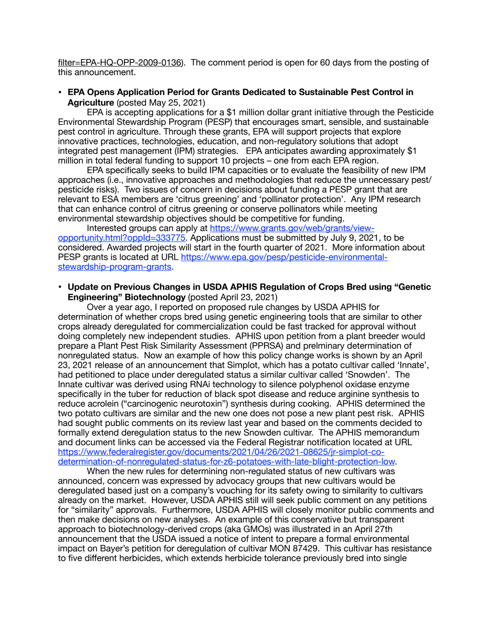[filter=EPA-HQ-OPP-2009-0136\)](https://www.regulations.gov/search?filter=EPA-HQ-OPP-2009-0136). The comment period is open for 60 days from the posting of this announcement.

• **EPA Opens Application Period for Grants Dedicated to Sustainable Pest Control in Agriculture** (posted May 25, 2021)

EPA is accepting applications for a \$1 million dollar grant initiative through the Pesticide Environmental Stewardship Program (PESP) that encourages smart, sensible, and sustainable pest control in agriculture. Through these grants, EPA will support projects that explore innovative practices, technologies, education, and non-regulatory solutions that adopt integrated pest management (IPM) strategies. EPA anticipates awarding approximately \$1 million in total federal funding to support 10 projects – one from each EPA region.

EPA specifically seeks to build IPM capacities or to evaluate the feasibility of new IPM approaches (i.e., innovative approaches and methodologies that reduce the unnecessary pest/ pesticide risks). Two issues of concern in decisions about funding a PESP grant that are relevant to ESA members are 'citrus greening' and 'pollinator protection'. Any IPM research that can enhance control of citrus greening or conserve pollinators while meeting environmental stewardship objectives should be competitive for funding.

Interested groups can apply at [https://www.grants.gov/web/grants/view](https://www.grants.gov/web/grants/view-opportunity.html?oppId=333775)[opportunity.html?oppId=333775](https://www.grants.gov/web/grants/view-opportunity.html?oppId=333775). Applications must be submitted by July 9, 2021, to be considered. Awarded projects will start in the fourth quarter of 2021. More information about PESP grants is located at URL [https://www.epa.gov/pesp/pesticide-environmental](https://www.epa.gov/pesp/pesticide-environmental-stewardship-program-grants)[stewardship-program-grants.](https://www.epa.gov/pesp/pesticide-environmental-stewardship-program-grants)

**• Update on Previous Changes in USDA APHIS Regulation of Crops Bred using "Genetic Engineering" Biotechnology** (posted April 23, 2021)

Over a year ago, I reported on proposed rule changes by USDA APHIS for determination of whether crops bred using genetic engineering tools that are similar to other crops already deregulated for commercialization could be fast tracked for approval without doing completely new independent studies. APHIS upon petition from a plant breeder would prepare a Plant Pest Risk Similarity Assessment (PPRSA) and prelminary determination of nonregulated status. Now an example of how this policy change works is shown by an April 23, 2021 release of an announcement that Simplot, which has a potato cultivar called 'Innate', had petitioned to place under deregulated status a similar cultivar called 'Snowden'. The Innate cultivar was derived using RNAi technology to silence polyphenol oxidase enzyme specifically in the tuber for reduction of black spot disease and reduce arginine synthesis to reduce acrolein ("carcinogenic neurotoxin") synthesis during cooking. APHIS determined the two potato cultivars are similar and the new one does not pose a new plant pest risk. APHIS had sought public comments on its review last year and based on the comments decided to formally extend deregulation status to the new Snowden cultivar. The APHIS memorandum and document links can be accessed via the Federal Registrar notification located at URL [https://www.federalregister.gov/documents/2021/04/26/2021-08625/jr-simplot-co](https://www.federalregister.gov/documents/2021/04/26/2021-08625/jr-simplot-co-determination-of-nonregulated-status-for-z6-potatoes-with-late-blight-protection-low)[determination-of-nonregulated-status-for-z6-potatoes-with-late-blight-protection-low](https://www.federalregister.gov/documents/2021/04/26/2021-08625/jr-simplot-co-determination-of-nonregulated-status-for-z6-potatoes-with-late-blight-protection-low).

When the new rules for determining non-regulated status of new cultivars was announced, concern was expressed by advocacy groups that new cultivars would be deregulated based just on a company's vouching for its safety owing to similarity to cultivars already on the market. However, USDA APHIS still will seek public comment on any petitions for "similarity" approvals. Furthermore, USDA APHIS will closely monitor public comments and then make decisions on new analyses. An example of this conservative but transparent approach to biotechnology-derived crops (aka GMOs) was illustrated in an April 27th announcement that the USDA issued a notice of intent to prepare a formal environmental impact on Bayer's petition for deregulation of cultivar MON 87429. This cultivar has resistance to five different herbicides, which extends herbicide tolerance previously bred into single